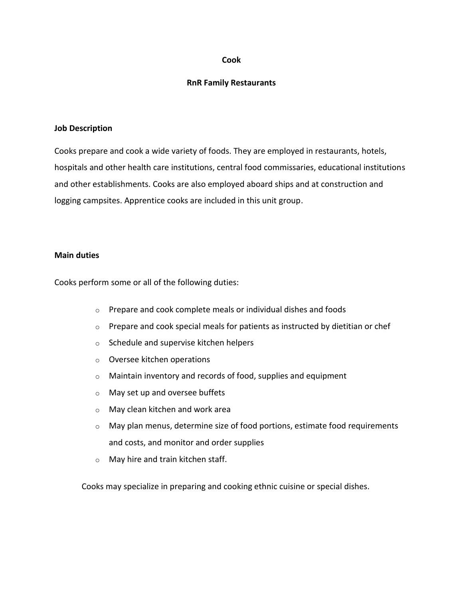## **Cook**

## **RnR Family Restaurants**

#### **Job Description**

Cooks prepare and cook a wide variety of foods. They are employed in restaurants, hotels, hospitals and other health care institutions, central food commissaries, educational institutions and other establishments. Cooks are also employed aboard ships and at construction and logging campsites. Apprentice cooks are included in this unit group.

## **Main duties**

Cooks perform some or all of the following duties:

- o Prepare and cook complete meals or individual dishes and foods
- o Prepare and cook special meals for patients as instructed by dietitian or chef
- o Schedule and supervise kitchen helpers
- o Oversee kitchen operations
- $\circ$  Maintain inventory and records of food, supplies and equipment
- o May set up and oversee buffets
- o May clean kitchen and work area
- $\circ$  May plan menus, determine size of food portions, estimate food requirements and costs, and monitor and order supplies
- o May hire and train kitchen staff.

Cooks may specialize in preparing and cooking ethnic cuisine or special dishes.